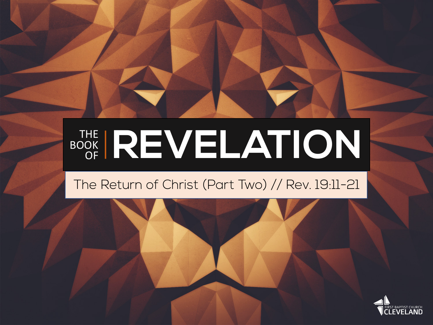#### THE BOOK OR REVELATION

#### The Return of Christ (Part Two) // Rev. 19:11-21

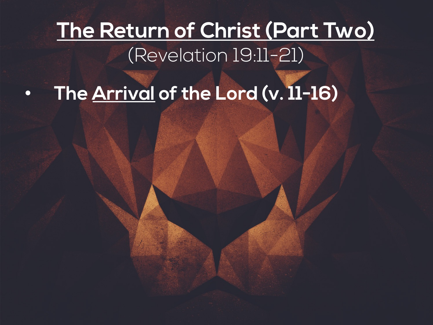### • **The Arrival of the Lord (v. 11-16)**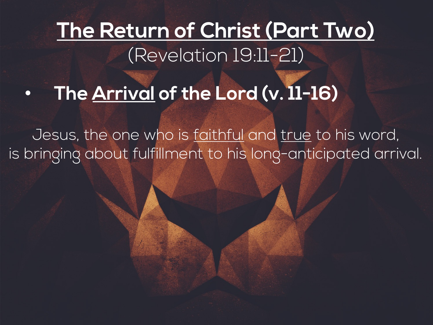### • **The Arrival of the Lord (v. 11-16)**

Jesus, the one who is faithful and true to his word, is bringing about fulfillment to his long-anticipated arrival.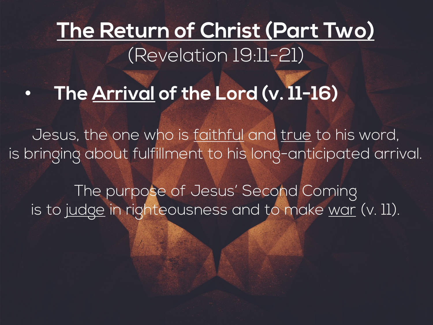#### • **The Arrival of the Lord (v. 11-16)**

Jesus, the one who is faithful and true to his word, is bringing about fulfillment to his long-anticipated arrival.

The purpose of Jesus' Second Coming is to judge in righteousness and to make war (v. 11).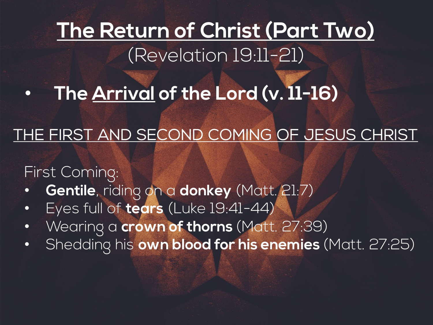• **The Arrival of the Lord (v. 11-16)**

#### THE FIRST AND SECOND COMING OF JESUS CHRIST

First Coming:

- **Gentile**, riding on a **donkey** (Matt. 21:7)
- Eyes full of **tears** (Luke 19:41-44)
- Wearing a **crown of thorns** (Matt. 27:39)
- Shedding his **own blood for his enemies** (Matt. 27:25)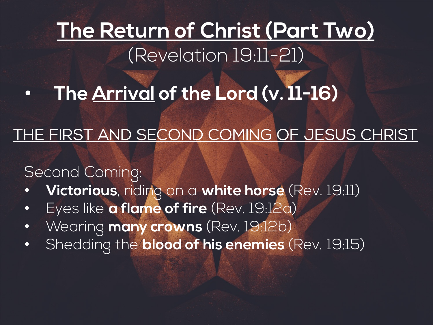• **The Arrival of the Lord (v. 11-16)**

#### THE FIRST AND SECOND COMING OF JESUS CHRIST

#### Second Coming:

- **Victorious**, riding on a **white horse** (Rev. 19:11)
- Eyes like **a flame of fire** (Rev. 19:12a)
- Wearing **many crowns** (Rev. 19:12b)
- Shedding the **blood of his enemies** (Rev. 19:15)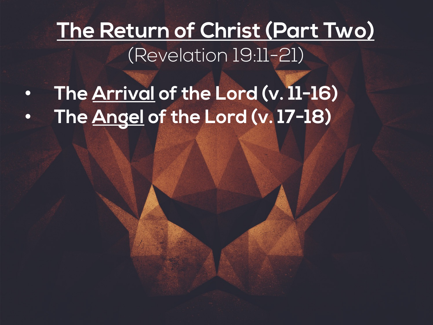• **The Arrival of the Lord (v. 11-16)** • **The Angel of the Lord (v. 17-18)**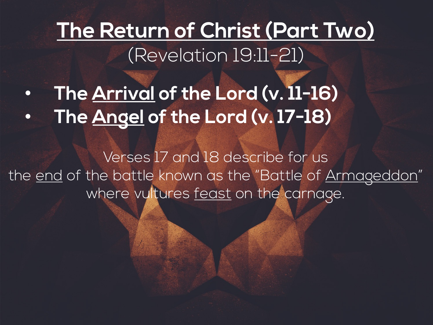• **The Arrival of the Lord (v. 11-16)** • **The Angel of the Lord (v. 17-18)**

Verses 17 and 18 describe for us the end of the battle known as the "Battle of Armageddon" where vultures feast on the carnage.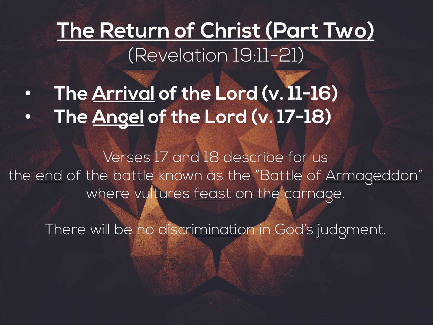• **The Arrival of the Lord (v. 11-16)** • **The Angel of the Lord (v. 17-18)**

Verses 17 and 18 describe for us the end of the battle known as the "Battle of Armageddon" where vultures feast on the carnage.

There will be no discrimination in God's judgment.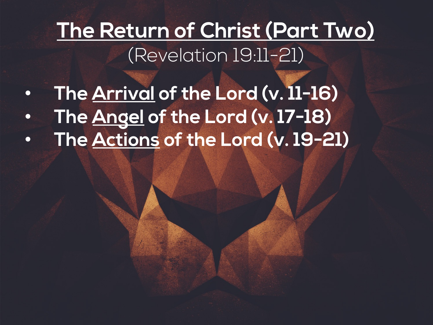- **The Arrival of the Lord (v. 11-16)** • **The Angel of the Lord (v. 17-18)**
- **The Actions of the Lord (v. 19-21)**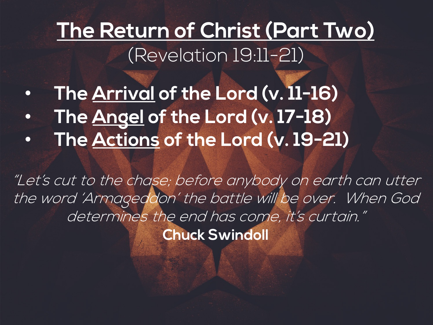• **The Arrival of the Lord (v. 11-16)** • **The Angel of the Lord (v. 17-18)** • **The Actions of the Lord (v. 19-21)**

"Let's cut to the chase; before anybody on earth can utter the word 'Armageddon' the battle will be over. When God determines the end has come, it's curtain." **Chuck Swindoll**